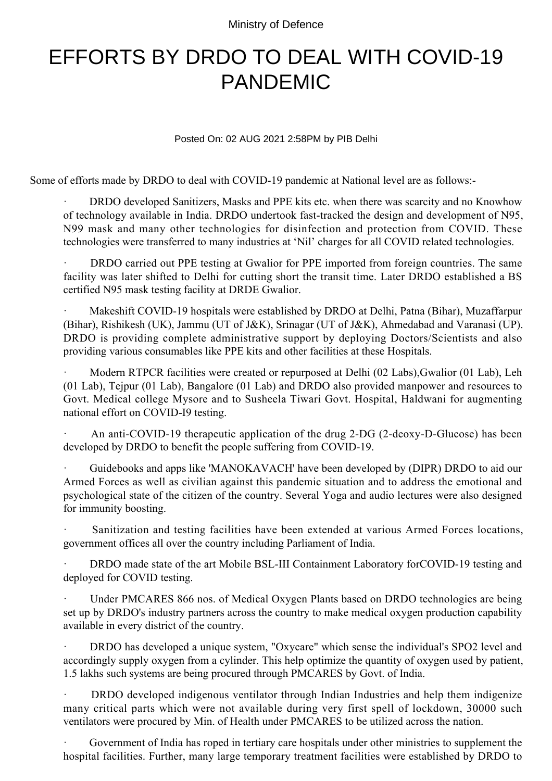Ministry of Defence

## EFFORTS BY DRDO TO DEAL WITH COVID-19 PANDEMIC

Posted On: 02 AUG 2021 2:58PM by PIB Delhi

Some of efforts made by DRDO to deal with COVID-19 pandemic at National level are as follows:-

DRDO developed Sanitizers, Masks and PPE kits etc. when there was scarcity and no Knowhow of technology available in India. DRDO undertook fast-tracked the design and development of N95, N99 mask and many other technologies for disinfection and protection from COVID. These technologies were transferred to many industries at 'Nil' charges for all COVID related technologies.

DRDO carried out PPE testing at Gwalior for PPE imported from foreign countries. The same facility was later shifted to Delhi for cutting short the transit time. Later DRDO established a BS certified N95 mask testing facility at DRDE Gwalior.

Makeshift COVID-19 hospitals were established by DRDO at Delhi, Patna (Bihar), Muzaffarpur (Bihar), Rishikesh (UK), Jammu (UT of J&K), Srinagar (UT of J&K), Ahmedabad and Varanasi (UP). DRDO is providing complete administrative support by deploying Doctors/Scientists and also providing various consumables like PPE kits and other facilities at these Hospitals.

Modern RTPCR facilities were created or repurposed at Delhi (02 Labs), Gwalior (01 Lab), Leh (01 Lab), Tejpur (01 Lab), Bangalore (01 Lab) and DRDO also provided manpower and resources to Govt. Medical college Mysore and to Susheela Tiwari Govt. Hospital, Haldwani for augmenting national effort on COVID-I9 testing.

An anti-COVID-19 therapeutic application of the drug 2-DG (2-deoxy-D-Glucose) has been developed by DRDO to benefit the people suffering from COVID-19.

Guidebooks and apps like 'MANOKAVACH' have been developed by (DIPR) DRDO to aid our Armed Forces as well as civilian against this pandemic situation and to address the emotional and psychological state of the citizen of the country. Several Yoga and audio lectures were also designed for immunity boosting.

Sanitization and testing facilities have been extended at various Armed Forces locations, government offices all over the country including Parliament of India.

DRDO made state of the art Mobile BSL-III Containment Laboratory forCOVID-19 testing and deployed for COVID testing.

Under PMCARES 866 nos. of Medical Oxygen Plants based on DRDO technologies are being set up by DRDO's industry partners across the country to make medical oxygen production capability available in every district of the country.

DRDO has developed a unique system, "Oxycare" which sense the individual's SPO2 level and accordingly supply oxygen from a cylinder. This help optimize the quantity of oxygen used by patient, 1.5 lakhs such systems are being procured through PMCARES by Govt. of India.

DRDO developed indigenous ventilator through Indian Industries and help them indigenize many critical parts which were not available during very first spell of lockdown, 30000 such ventilators were procured by Min. of Health under PMCARES to be utilized across the nation.

Government of India has roped in tertiary care hospitals under other ministries to supplement the hospital facilities. Further, many large temporary treatment facilities were established by DRDO to